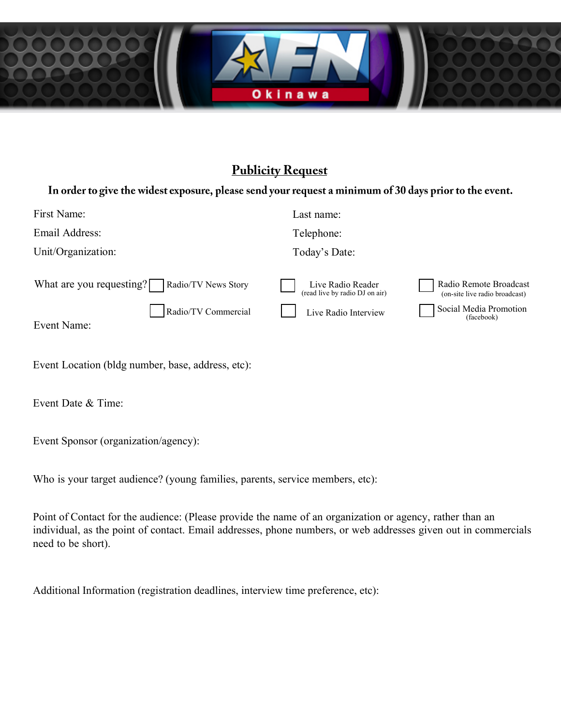

## **Publicity Request**

#### In order to give the widest exposure, please send your request a minimum of 30 days prior to the event.

| First Name:                                            | Last name:                                          |                                                          |
|--------------------------------------------------------|-----------------------------------------------------|----------------------------------------------------------|
| Email Address:                                         | Telephone:                                          |                                                          |
| Unit/Organization:                                     | Today's Date:                                       |                                                          |
| What are you requesting? $\Box$<br>Radio/TV News Story | Live Radio Reader<br>(read live by radio DJ on air) | Radio Remote Broadcast<br>(on-site live radio broadcast) |
| Radio/TV Commercial<br>Event Name:                     | Live Radio Interview                                | Social Media Promotion<br>(facebook)                     |
|                                                        |                                                     |                                                          |

| Event Location (bldg number, base, address, etc): |  |  |  |  |
|---------------------------------------------------|--|--|--|--|
|---------------------------------------------------|--|--|--|--|

Event Date & Time:

Event Sponsor (organization/agency):

Who is your target audience? (young families, parents, service members, etc):

Point of Contact for the audience: (Please provide the name of an organization or agency, rather than an individual, as the point of contact. Email addresses, phone numbers, or web addresses given out in commercials need to be short).

Additional Information (registration deadlines, interview time preference, etc):